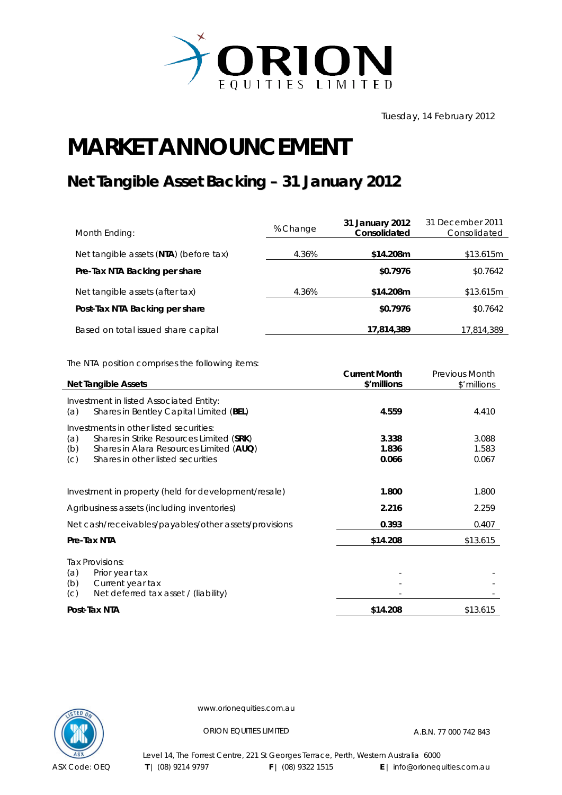

Tuesday, 14 February 2012

## **MARKET ANNOUNCEMENT**

## **Net Tangible Asset Backing – 31 January 2012**

| Month Ending:                          | % Change | 31 January 2012<br>Consolidated | 31 December 2011<br>Consolidated |
|----------------------------------------|----------|---------------------------------|----------------------------------|
| Net tangible assets (NTA) (before tax) | 4.36%    | \$14.208m                       | \$13.615m                        |
| Pre-Tax NTA Backing per share          |          | \$0.7976                        | \$0.7642                         |
| Net tangible assets (after tax)        | 4.36%    | \$14.208m                       | \$13.615m                        |
| Post-Tax NTA Backing per share         |          | \$0.7976                        | \$0.7642                         |
| Based on total issued share capital    |          | 17,814,389                      | 17,814,389                       |

The NTA position comprises the following items:

|                                                                                           | <b>Current Month</b> | <b>Previous Month</b> |
|-------------------------------------------------------------------------------------------|----------------------|-----------------------|
| <b>Net Tangible Assets</b>                                                                | \$'millions          | \$'millions           |
| Investment in listed Associated Entity:<br>Shares in Bentley Capital Limited (BEL)<br>(a) | 4.559                | 4.410                 |
| Investments in other listed securities:                                                   |                      |                       |
| Shares in Strike Resources Limited (SRK)<br>(a)                                           | 3.338                | 3.088                 |
| (b)<br>Shares in Alara Resources Limited (AUQ)                                            | 1.836                | 1.583                 |
| Shares in other listed securities<br>(C)                                                  | 0.066                | 0.067                 |
|                                                                                           |                      |                       |
| Investment in property (held for development/resale)                                      | 1.800                | 1.800                 |
| Agribusiness assets (including inventories)                                               | 2.216                | 2.259                 |
| Net cash/receivables/payables/other assets/provisions                                     | 0.393                | 0.407                 |
| Pre-Tax NTA                                                                               | \$14.208             | \$13.615              |
| Tax Provisions:<br>(a)<br>Prior year tax<br>Current year tax<br>(b)                       |                      |                       |
| Net deferred tax asset / (liability)<br>(C)                                               |                      |                       |
| Post-Tax NTA                                                                              | \$14.208             | \$13.615              |



www.orionequities.com.au

ORION EQUITIES LIMITED A.B.N. 77 000 742 843